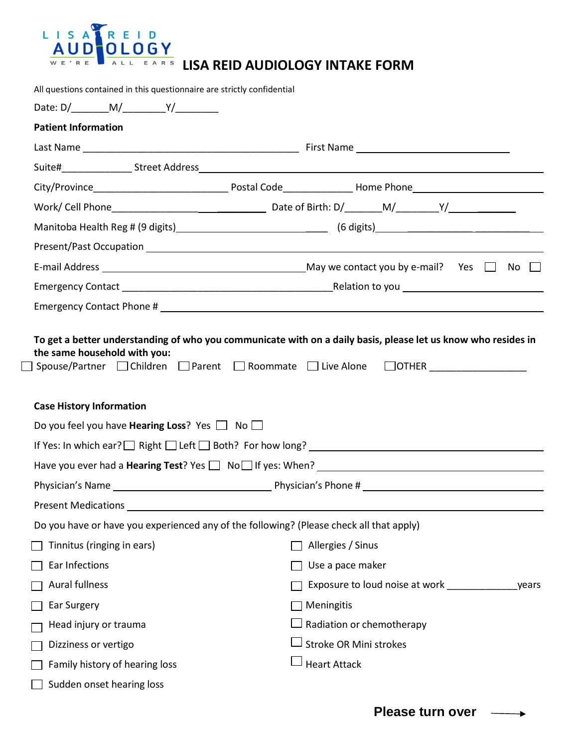

| All questions contained in this questionnaire are strictly confidential                            |                                                                                         |
|----------------------------------------------------------------------------------------------------|-----------------------------------------------------------------------------------------|
|                                                                                                    |                                                                                         |
| <b>Patient Information</b>                                                                         |                                                                                         |
|                                                                                                    |                                                                                         |
|                                                                                                    |                                                                                         |
|                                                                                                    |                                                                                         |
|                                                                                                    |                                                                                         |
|                                                                                                    |                                                                                         |
|                                                                                                    |                                                                                         |
|                                                                                                    |                                                                                         |
|                                                                                                    |                                                                                         |
|                                                                                                    |                                                                                         |
| <b>Case History Information</b><br>Do you feel you have <b>Hearing Loss</b> ? Yes $\Box$ No $\Box$ |                                                                                         |
|                                                                                                    |                                                                                         |
|                                                                                                    |                                                                                         |
|                                                                                                    |                                                                                         |
| <b>Present Medications</b>                                                                         |                                                                                         |
|                                                                                                    | Do you have or have you experienced any of the following? (Please check all that apply) |
| Tinnitus (ringing in ears)                                                                         | Allergies / Sinus                                                                       |
| Ear Infections                                                                                     | Use a pace maker                                                                        |
| Aural fullness                                                                                     | Exposure to loud noise at work __________<br>years                                      |
| Ear Surgery                                                                                        | Meningitis                                                                              |
| Head injury or trauma                                                                              | Radiation or chemotherapy                                                               |
| Dizziness or vertigo                                                                               | Stroke OR Mini strokes                                                                  |
| Family history of hearing loss                                                                     | <b>Heart Attack</b>                                                                     |
| Sudden onset hearing loss                                                                          |                                                                                         |